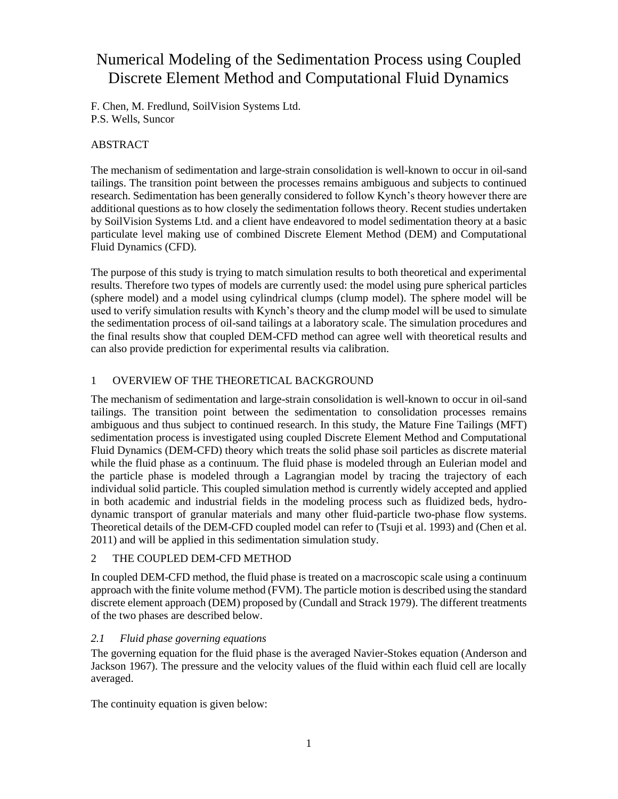# Numerical Modeling of the Sedimentation Process using Coupled Discrete Element Method and Computational Fluid Dynamics

F. Chen, M. Fredlund, SoilVision Systems Ltd. P.S. Wells, Suncor

# ABSTRACT

The mechanism of sedimentation and large-strain consolidation is well-known to occur in oil-sand tailings. The transition point between the processes remains ambiguous and subjects to continued research. Sedimentation has been generally considered to follow Kynch's theory however there are additional questions as to how closely the sedimentation follows theory. Recent studies undertaken by SoilVision Systems Ltd. and a client have endeavored to model sedimentation theory at a basic particulate level making use of combined Discrete Element Method (DEM) and Computational Fluid Dynamics (CFD).

The purpose of this study is trying to match simulation results to both theoretical and experimental results. Therefore two types of models are currently used: the model using pure spherical particles (sphere model) and a model using cylindrical clumps (clump model). The sphere model will be used to verify simulation results with Kynch's theory and the clump model will be used to simulate the sedimentation process of oil-sand tailings at a laboratory scale. The simulation procedures and the final results show that coupled DEM-CFD method can agree well with theoretical results and can also provide prediction for experimental results via calibration.

# 1 OVERVIEW OF THE THEORETICAL BACKGROUND

The mechanism of sedimentation and large-strain consolidation is well-known to occur in oil-sand tailings. The transition point between the sedimentation to consolidation processes remains ambiguous and thus subject to continued research. In this study, the Mature Fine Tailings (MFT) sedimentation process is investigated using coupled Discrete Element Method and Computational Fluid Dynamics (DEM-CFD) theory which treats the solid phase soil particles as discrete material while the fluid phase as a continuum. The fluid phase is modeled through an Eulerian model and the particle phase is modeled through a Lagrangian model by tracing the trajectory of each individual solid particle. This coupled simulation method is currently widely accepted and applied in both academic and industrial fields in the modeling process such as fluidized beds, hydrodynamic transport of granular materials and many other fluid-particle two-phase flow systems. Theoretical details of the DEM-CFD coupled model can refer to (Tsuji et al. 1993) and (Chen et al. 2011) and will be applied in this sedimentation simulation study.

# 2 THE COUPLED DEM-CFD METHOD

In coupled DEM-CFD method, the fluid phase is treated on a macroscopic scale using a continuum approach with the finite volume method (FVM). The particle motion is described using the standard discrete element approach (DEM) proposed by (Cundall and Strack 1979). The different treatments of the two phases are described below.

# *2.1 Fluid phase governing equations*

The governing equation for the fluid phase is the averaged Navier-Stokes equation (Anderson and Jackson 1967). The pressure and the velocity values of the fluid within each fluid cell are locally averaged.

The continuity equation is given below: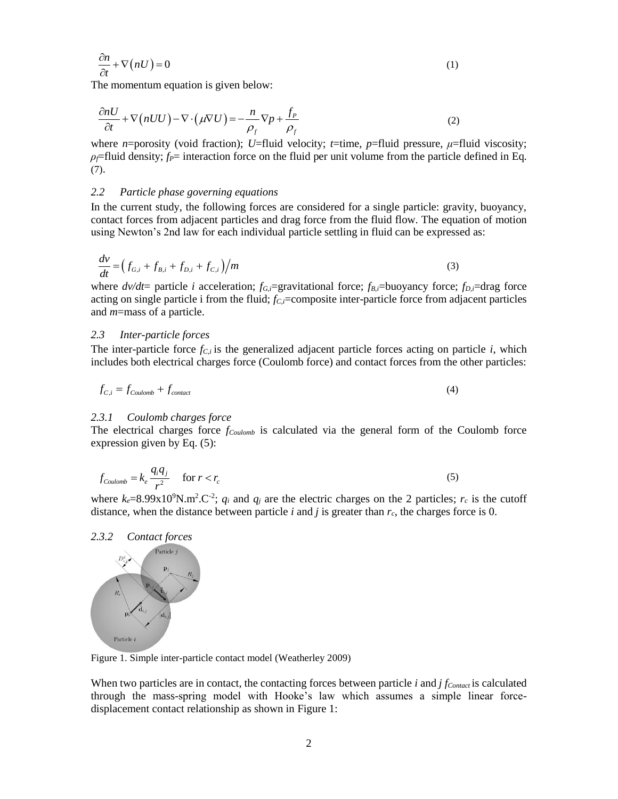$$
\frac{\partial n}{\partial t} + \nabla (nU) = 0 \tag{1}
$$

The momentum equation is given below:

<span id="page-1-2"></span>
$$
\frac{\partial nU}{\partial t} + \nabla (nUU) - \nabla \cdot (\mu \nabla U) = -\frac{n}{\rho_f} \nabla p + \frac{f_p}{\rho_f}
$$
\n(2)

where *n*=porosity (void fraction); *U*=fluid velocity; *t*=time, *p*=fluid pressure,  $\mu$ =fluid viscosity; *ρf*=fluid density; *fP*= interaction force on the fluid per unit volume from the particle defined in Eq. [\(7\)](#page-2-0).

### *2.2 Particle phase governing equations*

In the current study, the following forces are considered for a single particle: gravity, buoyancy, contact forces from adjacent particles and drag force from the fluid flow. The equation of motion using Newton's 2nd law for each individual particle settling in fluid can be expressed as:

$$
\frac{dv}{dt} = \left(f_{G,i} + f_{B,i} + f_{D,i} + f_{C,i}\right) / m
$$
\n(3)

where  $d\nu/dt$  particle *i* acceleration;  $f_{G,i}$  gravitational force;  $f_{B,i}$  buoyancy force;  $f_{D,i}$  drag force acting on single particle i from the fluid; *fC,i*=composite inter-particle force from adjacent particles and *m*=mass of a particle.

### *2.3 Inter-particle forces*

The inter-particle force  $f_{C,i}$  is the generalized adjacent particle forces acting on particle *i*, which includes both electrical charges force (Coulomb force) and contact forces from the other particles:

$$
f_{C,i} = f_{\text{Coulomb}} + f_{\text{contact}} \tag{4}
$$

### *2.3.1 Coulomb charges force*

The electrical charges force *fCoulomb* is calculated via the general form of the Coulomb force expression given by Eq. [\(5\):](#page-1-0)

<span id="page-1-0"></span>
$$
f_{\text{Coulomb}} = k_e \frac{q_i q_j}{r^2} \quad \text{for } r < r_c \tag{5}
$$

where  $k_e = 8.99 \times 10^9$ N.m<sup>2</sup>.C<sup>-2</sup>;  $q_i$  and  $q_j$  are the electric charges on the 2 particles;  $r_c$  is the cutoff distance, when the distance between particle  $i$  and  $j$  is greater than  $r_c$ , the charges force is 0.

#### *2.3.2 Contact forces*



<span id="page-1-1"></span>Figure 1. Simple inter-particle contact model (Weatherley 2009)

When two particles are in contact, the contacting forces between particle  $i$  and  $j$   $f_{Context}$  is calculated through the mass-spring model with Hooke's law which assumes a simple linear forcedisplacement contact relationship as shown in [Figure 1:](#page-1-1)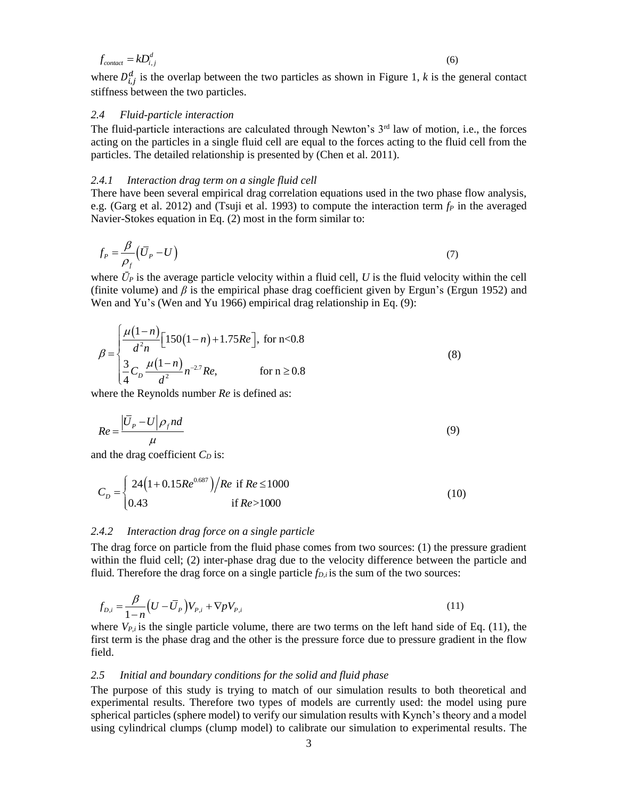$$
f_{contact} = kD_{i,j}^d
$$

where  $D_{i,j}^d$  is the overlap between the two particles as shown in [Figure 1,](#page-1-1) *k* is the general contact stiffness between the two particles.

#### *2.4 Fluid-particle interaction*

The fluid-particle interactions are calculated through Newton's  $3<sup>rd</sup>$  law of motion, i.e., the forces acting on the particles in a single fluid cell are equal to the forces acting to the fluid cell from the particles. The detailed relationship is presented by (Chen et al. 2011).

#### *2.4.1 Interaction drag term on a single fluid cell*

There have been several empirical drag correlation equations used in the two phase flow analysis, e.g. (Garg et al. 2012) and (Tsuji et al. 1993) to compute the interaction term  $f<sub>P</sub>$  in the averaged Navier-Stokes equation in Eq. [\(2\)](#page-1-2) most in the form similar to:

<span id="page-2-0"></span>
$$
f_P = \frac{\beta}{\rho_f} (\bar{U}_P - U) \tag{7}
$$

where  $\bar{U}_P$  is the average particle velocity within a fluid cell, *U* is the fluid velocity within the cell (finite volume) and *β* is the empirical phase drag coefficient given by Ergun's (Ergun 1952) and Wen and Yu's (Wen and Yu 1966) empirical drag relationship in Eq. [\(9\):](#page-2-1)

$$
\beta = \begin{cases} \frac{\mu(1-n)}{d^2n} \Big[ 150(1-n) + 1.75Re \Big], \text{ for } n < 0.8\\ \frac{3}{4} C_D \frac{\mu(1-n)}{d^2} n^{-2.7} Re, \end{cases}
$$
 (8)

where the Reynolds number *Re* is defined as:

<span id="page-2-1"></span>
$$
Re = \frac{\left|\overline{U}_P - U\right|\rho_f nd}{\mu} \tag{9}
$$

and the drag coefficient  $C_D$  is:

$$
C_D = \begin{cases} 24(1+0.15Re^{0.687})/Re \text{ if } Re \le 1000\\ 0.43 \text{ if } Re > 1000 \end{cases}
$$
 (10)

### *2.4.2 Interaction drag force on a single particle*

The drag force on particle from the fluid phase comes from two sources: (1) the pressure gradient within the fluid cell; (2) inter-phase drag due to the velocity difference between the particle and fluid. Therefore the drag force on a single particle  $f_{D,i}$  is the sum of the two sources:

<span id="page-2-2"></span>
$$
f_{D,i} = \frac{\beta}{1 - n} \left( U - \bar{U}_P \right) V_{P,i} + \nabla p V_{P,i}
$$
\n(11)

where  $V_{P,i}$  is the single particle volume, there are two terms on the left hand side of Eq. [\(11\),](#page-2-2) the first term is the phase drag and the other is the pressure force due to pressure gradient in the flow field.

#### *2.5 Initial and boundary conditions for the solid and fluid phase*

The purpose of this study is trying to match of our simulation results to both theoretical and experimental results. Therefore two types of models are currently used: the model using pure spherical particles (sphere model) to verify our simulation results with Kynch's theory and a model using cylindrical clumps (clump model) to calibrate our simulation to experimental results. The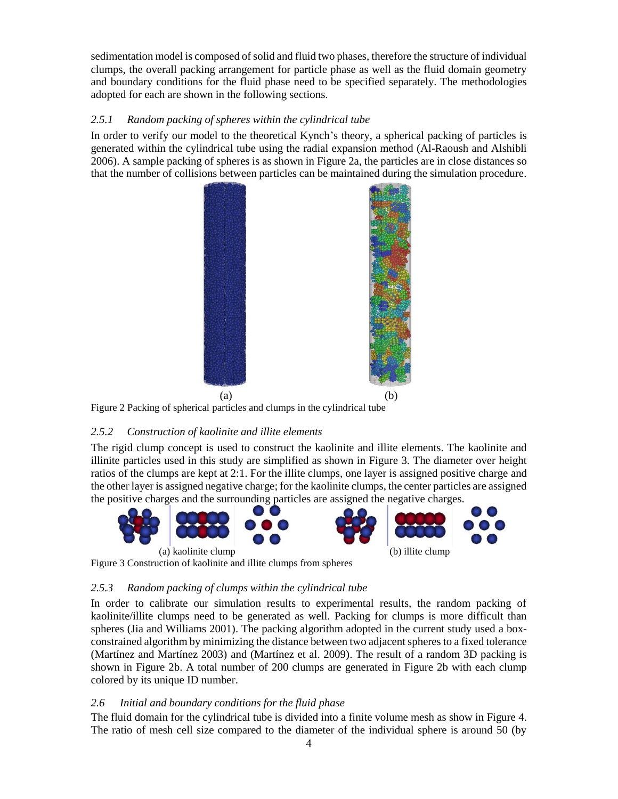sedimentation model is composed of solid and fluid two phases, therefore the structure of individual clumps, the overall packing arrangement for particle phase as well as the fluid domain geometry and boundary conditions for the fluid phase need to be specified separately. The methodologies adopted for each are shown in the following sections.

# *2.5.1 Random packing of spheres within the cylindrical tube*

In order to verify our model to the theoretical Kynch's theory, a spherical packing of particles is generated within the cylindrical tube using the radial expansion method (Al-Raoush and Alshibli 2006). A sample packing of spheres is as shown in [Figure 2a](#page-3-0), the particles are in close distances so that the number of collisions between particles can be maintained during the simulation procedure.



<span id="page-3-0"></span>Figure 2 Packing of spherical particles and clumps in the cylindrical tube

# *2.5.2 Construction of kaolinite and illite elements*

The rigid clump concept is used to construct the kaolinite and illite elements. The kaolinite and illinite particles used in this study are simplified as shown in [Figure 3.](#page-3-1) The diameter over height ratios of the clumps are kept at 2:1. For the illite clumps, one layer is assigned positive charge and the other layer is assigned negative charge; for the kaolinite clumps, the center particles are assigned the positive charges and the surrounding particles are assigned the negative charges.



<span id="page-3-1"></span>Figure 3 Construction of kaolinite and illite clumps from spheres

## *2.5.3 Random packing of clumps within the cylindrical tube*

In order to calibrate our simulation results to experimental results, the random packing of kaolinite/illite clumps need to be generated as well. Packing for clumps is more difficult than spheres (Jia and Williams 2001). The packing algorithm adopted in the current study used a boxconstrained algorithm by minimizing the distance between two adjacent spheres to a fixed tolerance (Martínez and Martínez 2003) and (Martínez et al. 2009). The result of a random 3D packing is shown in [Figure 2b](#page-3-0). A total number of 200 clumps are generated in [Figure 2b](#page-3-0) with each clump colored by its unique ID number.

# *2.6 Initial and boundary conditions for the fluid phase*

The fluid domain for the cylindrical tube is divided into a finite volume mesh as show in [Figure 4.](#page-4-0) The ratio of mesh cell size compared to the diameter of the individual sphere is around 50 (by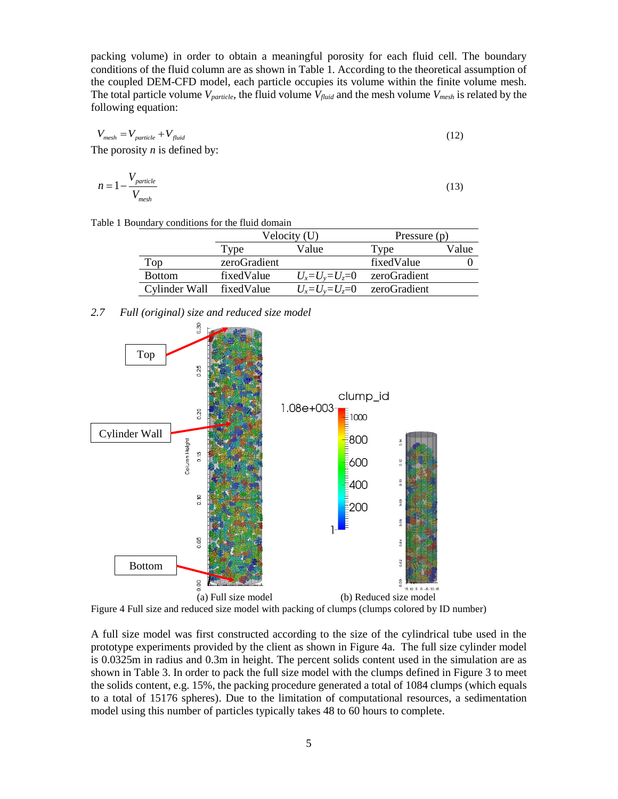packing volume) in order to obtain a meaningful porosity for each fluid cell. The boundary conditions of the fluid column are as shown in [Table 1.](#page-4-1) According to the theoretical assumption of the coupled DEM-CFD model, each particle occupies its volume within the finite volume mesh. The total particle volume *Vparticle*, the fluid volume *Vfluid* and the mesh volume *Vmesh* is related by the following equation:

$$
V_{mesh} = V_{particle} + V_{fluid} \tag{12}
$$

The porosity *n* is defined by:

$$
n = 1 - \frac{V_{particle}}{V_{mesh}}
$$
 (13)

<span id="page-4-1"></span>Table 1 Boundary conditions for the fluid domain

|               | Velocity (U) |                       | Pressure (p) |       |
|---------------|--------------|-----------------------|--------------|-------|
|               | Type         | Value                 | Type         | Value |
| Top           | zeroGradient |                       | fixedValue   |       |
| <b>Bottom</b> | fixedValue   | $U_x = U_y = U_z = 0$ | zeroGradient |       |
| Cylinder Wall | fixedValue   | $U_x = U_y = U_z = 0$ | zeroGradient |       |

### *2.7 Full (original) size and reduced size model*



<span id="page-4-0"></span>Figure 4 Full size and reduced size model with packing of clumps (clumps colored by ID number)

A full size model was first constructed according to the size of the cylindrical tube used in the prototype experiments provided by the client as shown in [Figure 4a](#page-4-0). The full size cylinder model is 0.0325m in radius and 0.3m in height. The percent solids content used in the simulation are as shown in [Table 3.](#page-9-0) In order to pack the full size model with the clumps defined in [Figure 3](#page-3-1) to meet the solids content, e.g. 15%, the packing procedure generated a total of 1084 clumps (which equals to a total of 15176 spheres). Due to the limitation of computational resources, a sedimentation model using this number of particles typically takes 48 to 60 hours to complete.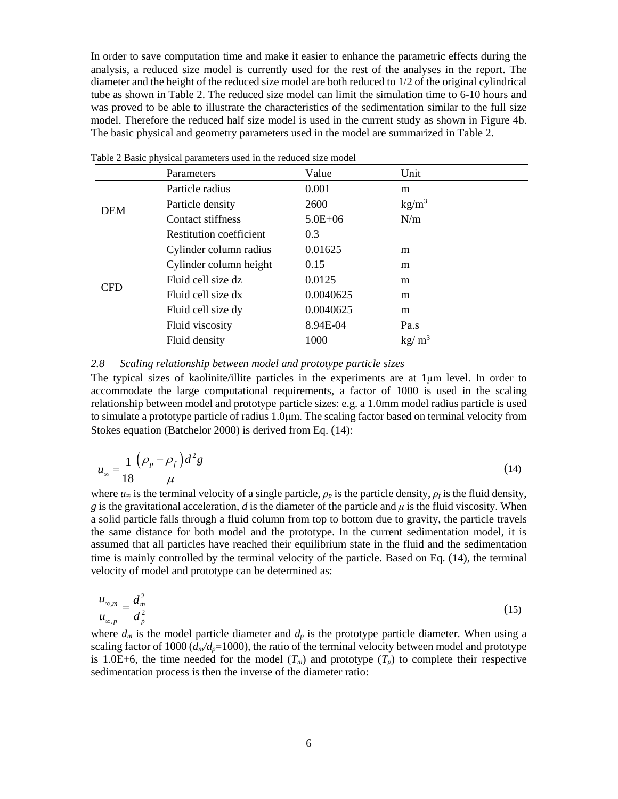In order to save computation time and make it easier to enhance the parametric effects during the analysis, a reduced size model is currently used for the rest of the analyses in the report. The diameter and the height of the reduced size model are both reduced to 1/2 of the original cylindrical tube as shown in [Table 2.](#page-5-0) The reduced size model can limit the simulation time to 6-10 hours and was proved to be able to illustrate the characteristics of the sedimentation similar to the full size model. Therefore the reduced half size model is used in the current study as shown in [Figure 4b](#page-4-0). The basic physical and geometry parameters used in the model are summarized in [Table 2.](#page-5-0)

|            | <b>Parameters</b>       | Value       | Unit              |
|------------|-------------------------|-------------|-------------------|
|            | Particle radius         | 0.001       | m                 |
| <b>DEM</b> | Particle density        | 2600        | kg/m <sup>3</sup> |
|            | Contact stiffness       | $5.0E + 06$ | N/m               |
|            | Restitution coefficient | 0.3         |                   |
|            | Cylinder column radius  | 0.01625     | m                 |
|            | Cylinder column height  | 0.15        | m                 |
| <b>CFD</b> | Fluid cell size dz      | 0.0125      | m                 |
|            | Fluid cell size dx      | 0.0040625   | m                 |
|            | Fluid cell size dy      | 0.0040625   | m                 |
|            | Fluid viscosity         | 8.94E-04    | Pa.s              |
|            | Fluid density           | 1000        | kg/m <sup>3</sup> |

<span id="page-5-0"></span>Table 2 Basic physical parameters used in the reduced size model

### <span id="page-5-2"></span>*2.8 Scaling relationship between model and prototype particle sizes*

The typical sizes of kaolinite/illite particles in the experiments are at 1μm level. In order to accommodate the large computational requirements, a factor of 1000 is used in the scaling relationship between model and prototype particle sizes: e.g. a 1.0mm model radius particle is used to simulate a prototype particle of radius 1.0μm. The scaling factor based on terminal velocity from Stokes equation (Batchelor 2000) is derived from Eq. ([14\):](#page-5-1)

<span id="page-5-1"></span>
$$
u_{\infty} = \frac{1}{18} \frac{\left(\rho_p - \rho_f\right) d^2 g}{\mu} \tag{14}
$$

where  $u_\infty$  is the terminal velocity of a single particle,  $\rho_p$  is the particle density,  $\rho_f$  is the fluid density, *g* is the gravitational acceleration, *d* is the diameter of the particle and  $\mu$  is the fluid viscosity. When a solid particle falls through a fluid column from top to bottom due to gravity, the particle travels the same distance for both model and the prototype. In the current sedimentation model, it is assumed that all particles have reached their equilibrium state in the fluid and the sedimentation time is mainly controlled by the terminal velocity of the particle. Based on Eq. ([14\),](#page-5-1) the terminal velocity of model and prototype can be determined as:

$$
\frac{u_{\infty,m}}{u_{\infty,p}} = \frac{d_m^2}{d_p^2} \tag{15}
$$

where  $d_m$  is the model particle diameter and  $d_p$  is the prototype particle diameter. When using a scaling factor of 1000 ( $d_m/d_p$ =1000), the ratio of the terminal velocity between model and prototype is 1.0E+6, the time needed for the model  $(T_m)$  and prototype  $(T_p)$  to complete their respective sedimentation process is then the inverse of the diameter ratio: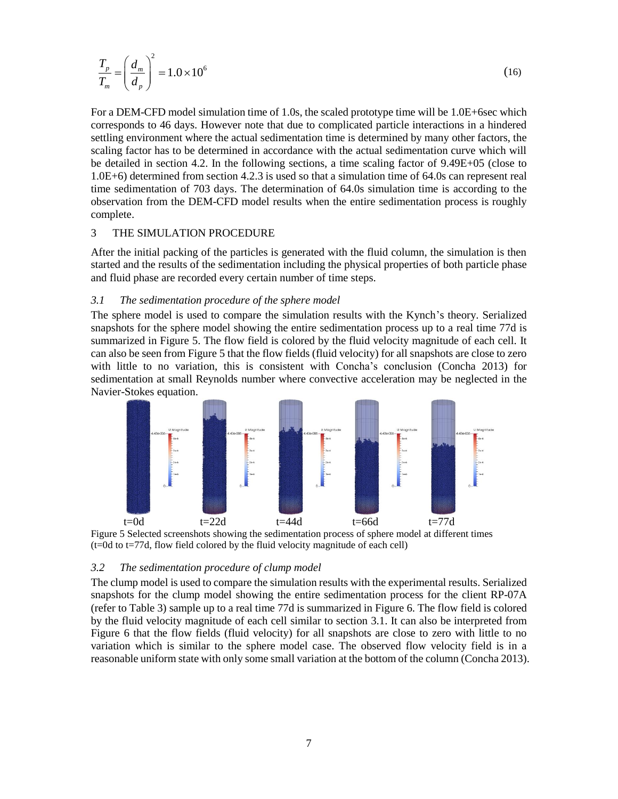$$
\frac{T_p}{T_m} = \left(\frac{d_m}{d_p}\right)^2 = 1.0 \times 10^6
$$
\n(16)

For a DEM-CFD model simulation time of 1.0s, the scaled prototype time will be 1.0E+6sec which corresponds to 46 days. However note that due to complicated particle interactions in a hindered settling environment where the actual sedimentation time is determined by many other factors, the scaling factor has to be determined in accordance with the actual sedimentation curve which will be detailed in section [4.2.](#page-7-0) In the following sections, a time scaling factor of 9.49E+05 (close to 1.0E+6) determined from section [4.2.3](#page-10-0) is used so that a simulation time of 64.0s can represent real time sedimentation of 703 days. The determination of 64.0s simulation time is according to the observation from the DEM-CFD model results when the entire sedimentation process is roughly complete.

### 3 THE SIMULATION PROCEDURE

After the initial packing of the particles is generated with the fluid column, the simulation is then started and the results of the sedimentation including the physical properties of both particle phase and fluid phase are recorded every certain number of time steps.

#### <span id="page-6-1"></span>*3.1 The sedimentation procedure of the sphere model*

The sphere model is used to compare the simulation results with the Kynch's theory. Serialized snapshots for the sphere model showing the entire sedimentation process up to a real time 77d is summarized in [Figure 5.](#page-6-0) The flow field is colored by the fluid velocity magnitude of each cell. It can also be seen from [Figure 5](#page-6-0) that the flow fields (fluid velocity) for all snapshots are close to zero with little to no variation, this is consistent with Concha's conclusion (Concha 2013) for sedimentation at small Reynolds number where convective acceleration may be neglected in the Navier-Stokes equation.



<span id="page-6-0"></span>Figure 5 Selected screenshots showing the sedimentation process of sphere model at different times (t=0d to t=77d, flow field colored by the fluid velocity magnitude of each cell)

#### *3.2 The sedimentation procedure of clump model*

The clump model is used to compare the simulation results with the experimental results. Serialized snapshots for the clump model showing the entire sedimentation process for the client RP-07A (refer to [Table 3\)](#page-9-0) sample up to a real time 77d is summarized i[n Figure 6.](#page-7-1) The flow field is colored by the fluid velocity magnitude of each cell similar to section [3.1.](#page-6-1) It can also be interpreted from [Figure 6](#page-7-1) that the flow fields (fluid velocity) for all snapshots are close to zero with little to no variation which is similar to the sphere model case. The observed flow velocity field is in a reasonable uniform state with only some small variation at the bottom of the column (Concha 2013).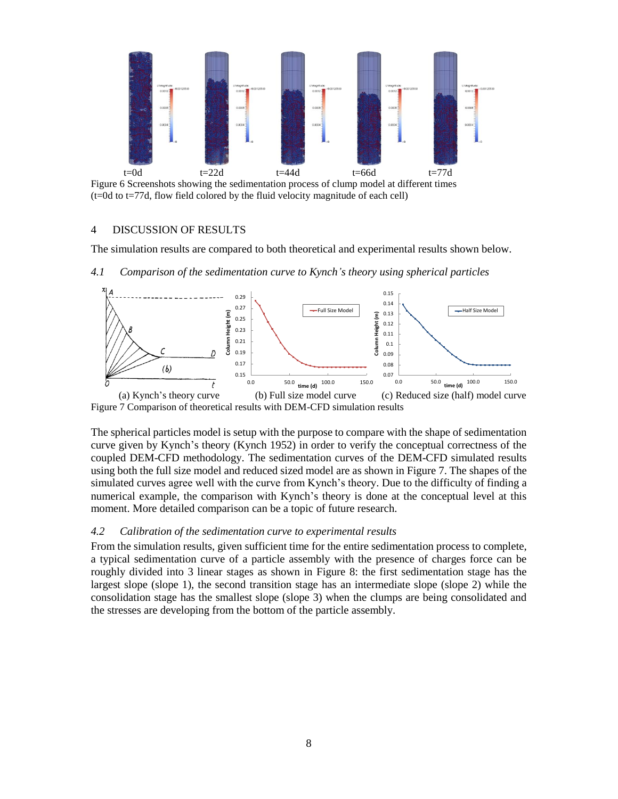

<span id="page-7-1"></span>Figure 6 Screenshots showing the sedimentation process of clump model at different times (t=0d to t=77d, flow field colored by the fluid velocity magnitude of each cell)

#### 4 DISCUSSION OF RESULTS

The simulation results are compared to both theoretical and experimental results shown below.

*4.1 Comparison of the sedimentation curve to Kynch's theory using spherical particles*



<span id="page-7-2"></span>Figure 7 Comparison of theoretical results with DEM-CFD simulation results

The spherical particles model is setup with the purpose to compare with the shape of sedimentation curve given by Kynch's theory (Kynch 1952) in order to verify the conceptual correctness of the coupled DEM-CFD methodology. The sedimentation curves of the DEM-CFD simulated results using both the full size model and reduced sized model are as shown in [Figure 7.](#page-7-2) The shapes of the simulated curves agree well with the curve from Kynch's theory. Due to the difficulty of finding a numerical example, the comparison with Kynch's theory is done at the conceptual level at this moment. More detailed comparison can be a topic of future research.

### <span id="page-7-0"></span>*4.2 Calibration of the sedimentation curve to experimental results*

From the simulation results, given sufficient time for the entire sedimentation process to complete, a typical sedimentation curve of a particle assembly with the presence of charges force can be roughly divided into 3 linear stages as shown in [Figure 8:](#page-8-0) the first sedimentation stage has the largest slope (slope 1), the second transition stage has an intermediate slope (slope 2) while the consolidation stage has the smallest slope (slope 3) when the clumps are being consolidated and the stresses are developing from the bottom of the particle assembly.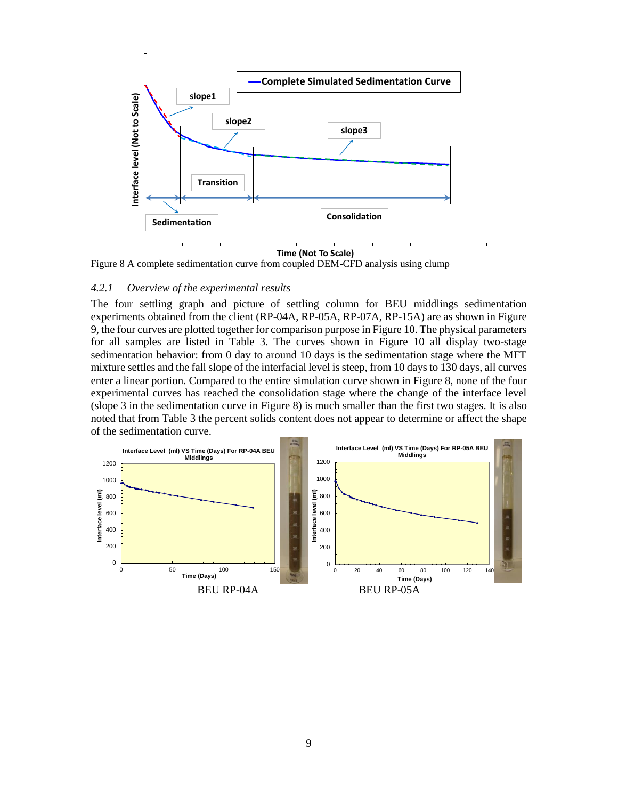

<span id="page-8-0"></span>Figure 8 A complete sedimentation curve from coupled DEM-CFD analysis using clump

### *4.2.1 Overview of the experimental results*

The four settling graph and picture of settling column for BEU middlings sedimentation experiments obtained from the client (RP-04A, RP-05A, RP-07A, RP-15A) are as shown i[n Figure](#page-9-1)  [9,](#page-9-1) the four curves are plotted together for comparison purpose i[n Figure 10.](#page-9-2) The physical parameters for all samples are listed in [Table 3.](#page-9-0) The curves shown in [Figure 10](#page-9-2) all display two-stage sedimentation behavior: from 0 day to around 10 days is the sedimentation stage where the MFT mixture settles and the fall slope of the interfacial level is steep, from 10 days to 130 days, all curves enter a linear portion. Compared to the entire simulation curve shown in [Figure 8,](#page-8-0) none of the four experimental curves has reached the consolidation stage where the change of the interface level (slope 3 in the sedimentation curve in [Figure 8\)](#page-8-0) is much smaller than the first two stages. It is also noted that from [Table 3](#page-9-0) the percent solids content does not appear to determine or affect the shape of the sedimentation curve.

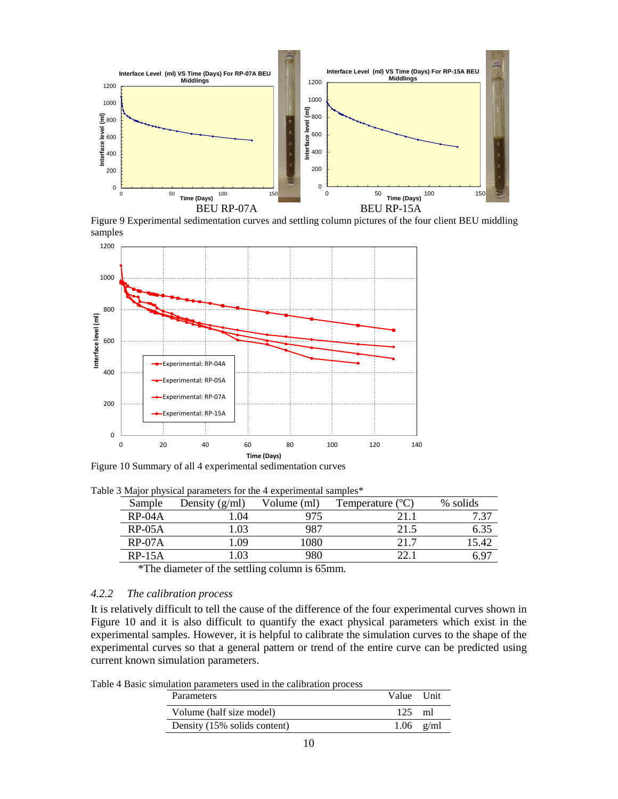

<span id="page-9-1"></span>Figure 9 Experimental sedimentation curves and settling column pictures of the four client BEU middling samples



<span id="page-9-2"></span>Figure 10 Summary of all 4 experimental sedimentation curves

| Sample   | Density $(g/ml)$ | Volume (ml) | Temperature $(^{\circ}C)$ | % solids     |
|----------|------------------|-------------|---------------------------|--------------|
| $RP-04A$ | .04              | 975         |                           | 7.37         |
| $RP-05A$ | .03              | 987         | 21.5                      | 6.35         |
| $RP-07A$ | .09              | 1080        | 21.7                      | 15.42        |
| $RP-15A$ | 03               | 980         | າາ_                       | $69^{\circ}$ |
|          |                  |             |                           |              |

<span id="page-9-0"></span>Table 3 Major physical parameters for the 4 experimental samples\*

\*The diameter of the settling column is 65mm.

### *4.2.2 The calibration process*

It is relatively difficult to tell the cause of the difference of the four experimental curves shown in [Figure 10](#page-9-2) and it is also difficult to quantify the exact physical parameters which exist in the experimental samples. However, it is helpful to calibrate the simulation curves to the shape of the experimental curves so that a general pattern or trend of the entire curve can be predicted using current known simulation parameters.

<span id="page-9-3"></span>Table 4 Basic simulation parameters used in the calibration process

| <b>Parameters</b>            | Value Unit |             |
|------------------------------|------------|-------------|
| Volume (half size model)     | 125        | ml          |
| Density (15% solids content) |            | $1.06$ g/ml |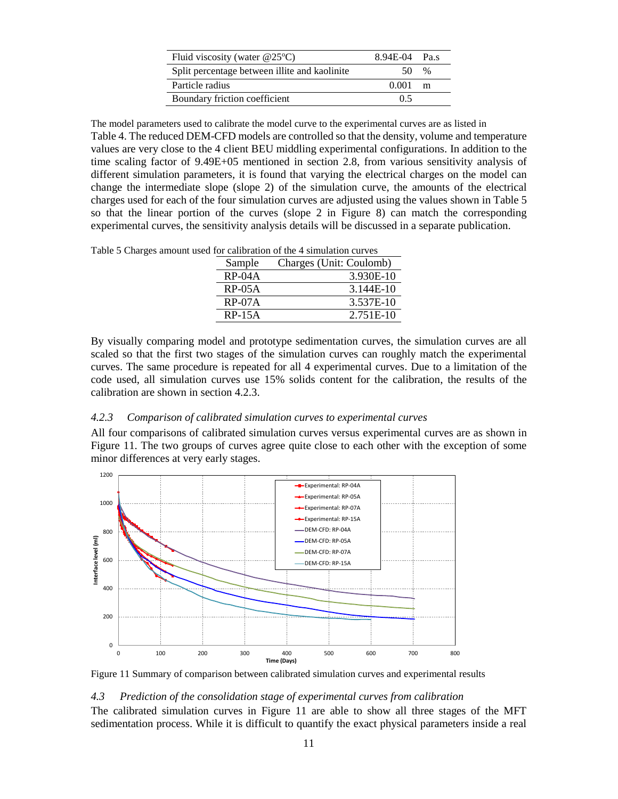| Fluid viscosity (water $@25°C$ )              | $8.94E-04$ Pa.s |               |
|-----------------------------------------------|-----------------|---------------|
| Split percentage between illite and kaolinite | 50.             | $\frac{0}{0}$ |
| Particle radius                               | 0.001           | m             |
| Boundary friction coefficient                 | 0.5             |               |

The model parameters used to calibrate the model curve to the experimental curves are as listed in [Table 4.](#page-9-3) The reduced DEM-CFD models are controlled so that the density, volume and temperature values are very close to the 4 client BEU middling experimental configurations. In addition to the time scaling factor of 9.49E+05 mentioned in section [2.8,](#page-5-2) from various sensitivity analysis of different simulation parameters, it is found that varying the electrical charges on the model can change the intermediate slope (slope 2) of the simulation curve, the amounts of the electrical charges used for each of the four simulation curves are adjusted using the values shown in [Table 5](#page-10-1) so that the linear portion of the curves (slope 2 in [Figure 8\)](#page-8-0) can match the corresponding experimental curves, the sensitivity analysis details will be discussed in a separate publication.

<span id="page-10-1"></span>Table 5 Charges amount used for calibration of the 4 simulation curves

| Sample        | Charges (Unit: Coulomb) |
|---------------|-------------------------|
| $RP-04A$      | 3.930E-10               |
| $RP-05A$      | 3.144E-10               |
| $RP-07A$      | 3.537E-10               |
| <b>RP-15A</b> | 2.751E-10               |

By visually comparing model and prototype sedimentation curves, the simulation curves are all scaled so that the first two stages of the simulation curves can roughly match the experimental curves. The same procedure is repeated for all 4 experimental curves. Due to a limitation of the code used, all simulation curves use 15% solids content for the calibration, the results of the calibration are shown in sectio[n 4.2.3.](#page-10-0)

### <span id="page-10-0"></span>*4.2.3 Comparison of calibrated simulation curves to experimental curves*

All four comparisons of calibrated simulation curves versus experimental curves are as shown in [Figure 11.](#page-10-2) The two groups of curves agree quite close to each other with the exception of some minor differences at very early stages.



<span id="page-10-2"></span>Figure 11 Summary of comparison between calibrated simulation curves and experimental results

### *4.3 Prediction of the consolidation stage of experimental curves from calibration*

The calibrated simulation curves in [Figure 11](#page-10-2) are able to show all three stages of the MFT sedimentation process. While it is difficult to quantify the exact physical parameters inside a real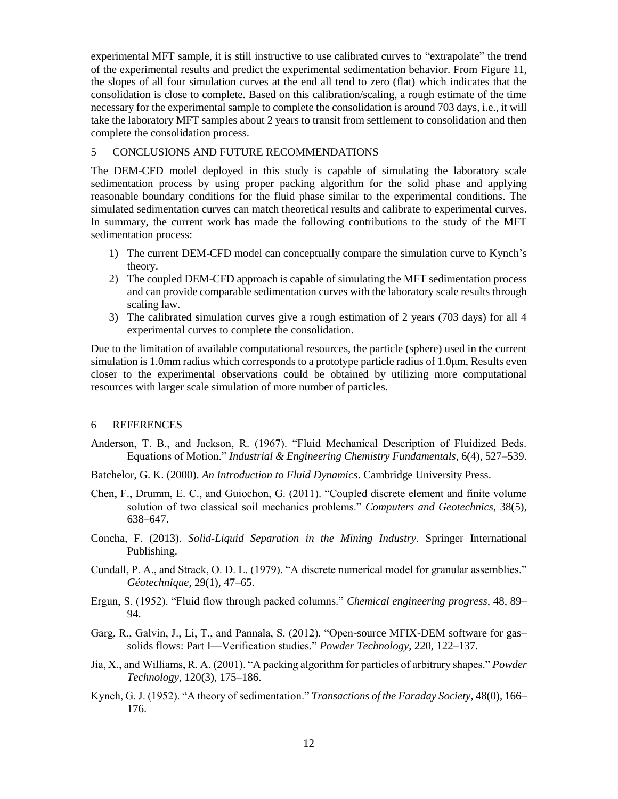experimental MFT sample, it is still instructive to use calibrated curves to "extrapolate" the trend of the experimental results and predict the experimental sedimentation behavior. From [Figure 11,](#page-10-2) the slopes of all four simulation curves at the end all tend to zero (flat) which indicates that the consolidation is close to complete. Based on this calibration/scaling, a rough estimate of the time necessary for the experimental sample to complete the consolidation is around 703 days, i.e., it will take the laboratory MFT samples about 2 years to transit from settlement to consolidation and then complete the consolidation process.

### 5 CONCLUSIONS AND FUTURE RECOMMENDATIONS

The DEM-CFD model deployed in this study is capable of simulating the laboratory scale sedimentation process by using proper packing algorithm for the solid phase and applying reasonable boundary conditions for the fluid phase similar to the experimental conditions. The simulated sedimentation curves can match theoretical results and calibrate to experimental curves. In summary, the current work has made the following contributions to the study of the MFT sedimentation process:

- 1) The current DEM-CFD model can conceptually compare the simulation curve to Kynch's theory.
- 2) The coupled DEM-CFD approach is capable of simulating the MFT sedimentation process and can provide comparable sedimentation curves with the laboratory scale results through scaling law.
- 3) The calibrated simulation curves give a rough estimation of 2 years (703 days) for all 4 experimental curves to complete the consolidation.

Due to the limitation of available computational resources, the particle (sphere) used in the current simulation is 1.0mm radius which corresponds to a prototype particle radius of 1.0μm, Results even closer to the experimental observations could be obtained by utilizing more computational resources with larger scale simulation of more number of particles.

### 6 REFERENCES

- Anderson, T. B., and Jackson, R. (1967). "Fluid Mechanical Description of Fluidized Beds. Equations of Motion." *Industrial & Engineering Chemistry Fundamentals*, 6(4), 527–539.
- Batchelor, G. K. (2000). *An Introduction to Fluid Dynamics*. Cambridge University Press.
- Chen, F., Drumm, E. C., and Guiochon, G. (2011). "Coupled discrete element and finite volume solution of two classical soil mechanics problems." *Computers and Geotechnics*, 38(5), 638–647.
- Concha, F. (2013). *Solid-Liquid Separation in the Mining Industry*. Springer International Publishing.
- Cundall, P. A., and Strack, O. D. L. (1979). "A discrete numerical model for granular assemblies." *Géotechnique*, 29(1), 47–65.
- Ergun, S. (1952). "Fluid flow through packed columns." *Chemical engineering progress*, 48, 89– 94.
- Garg, R., Galvin, J., Li, T., and Pannala, S. (2012). "Open-source MFIX-DEM software for gas– solids flows: Part I—Verification studies." *Powder Technology*, 220, 122–137.
- Jia, X., and Williams, R. A. (2001). "A packing algorithm for particles of arbitrary shapes." *Powder Technology*, 120(3), 175–186.
- Kynch, G. J. (1952). "A theory of sedimentation." *Transactions of the Faraday Society*, 48(0), 166– 176.